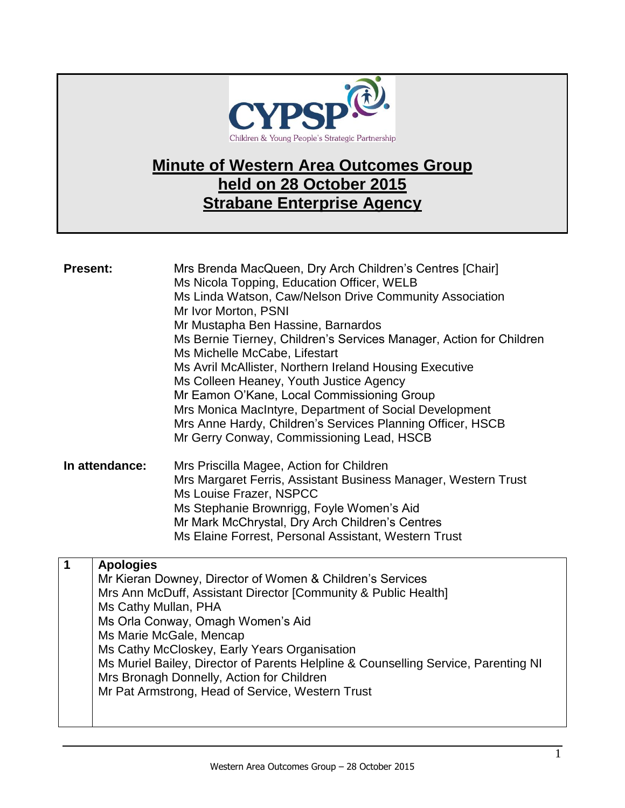

## **Minute of Western Area Outcomes Group held on 28 October 2015 Strabane Enterprise Agency**

| <b>Present:</b> |                                          | Mrs Brenda MacQueen, Dry Arch Children's Centres [Chair]<br>Ms Nicola Topping, Education Officer, WELB<br>Ms Linda Watson, Caw/Nelson Drive Community Association<br>Mr Ivor Morton, PSNI                                                                                                                                                                                                                                          |
|-----------------|------------------------------------------|------------------------------------------------------------------------------------------------------------------------------------------------------------------------------------------------------------------------------------------------------------------------------------------------------------------------------------------------------------------------------------------------------------------------------------|
|                 |                                          | Mr Mustapha Ben Hassine, Barnardos<br>Ms Bernie Tierney, Children's Services Manager, Action for Children<br>Ms Michelle McCabe, Lifestart                                                                                                                                                                                                                                                                                         |
|                 |                                          | Ms Avril McAllister, Northern Ireland Housing Executive<br>Ms Colleen Heaney, Youth Justice Agency                                                                                                                                                                                                                                                                                                                                 |
|                 |                                          | Mr Eamon O'Kane, Local Commissioning Group<br>Mrs Monica MacIntyre, Department of Social Development<br>Mrs Anne Hardy, Children's Services Planning Officer, HSCB<br>Mr Gerry Conway, Commissioning Lead, HSCB                                                                                                                                                                                                                    |
| In attendance:  |                                          | Mrs Priscilla Magee, Action for Children<br>Mrs Margaret Ferris, Assistant Business Manager, Western Trust<br>Ms Louise Frazer, NSPCC<br>Ms Stephanie Brownrigg, Foyle Women's Aid<br>Mr Mark McChrystal, Dry Arch Children's Centres<br>Ms Elaine Forrest, Personal Assistant, Western Trust                                                                                                                                      |
| $\mathbf 1$     | <b>Apologies</b><br>Ms Cathy Mullan, PHA | Mr Kieran Downey, Director of Women & Children's Services<br>Mrs Ann McDuff, Assistant Director [Community & Public Health]<br>Ms Orla Conway, Omagh Women's Aid<br>Ms Marie McGale, Mencap<br>Ms Cathy McCloskey, Early Years Organisation<br>Ms Muriel Bailey, Director of Parents Helpline & Counselling Service, Parenting NI<br>Mrs Bronagh Donnelly, Action for Children<br>Mr Pat Armstrong, Head of Service, Western Trust |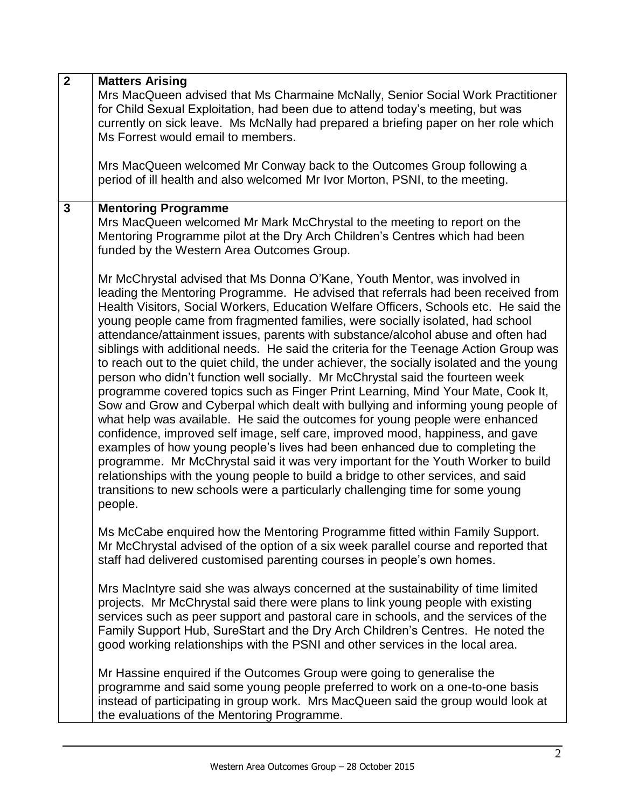| $\overline{2}$ | <b>Matters Arising</b>                                                                                                                                                                                                                                                                                                                                                                                                                                                                                                                                                                                                                                                                                                                                                                                                                                                                                                                                                                                                                                                                                                                                                                                                                                                                                                                                                                                 |
|----------------|--------------------------------------------------------------------------------------------------------------------------------------------------------------------------------------------------------------------------------------------------------------------------------------------------------------------------------------------------------------------------------------------------------------------------------------------------------------------------------------------------------------------------------------------------------------------------------------------------------------------------------------------------------------------------------------------------------------------------------------------------------------------------------------------------------------------------------------------------------------------------------------------------------------------------------------------------------------------------------------------------------------------------------------------------------------------------------------------------------------------------------------------------------------------------------------------------------------------------------------------------------------------------------------------------------------------------------------------------------------------------------------------------------|
|                | Mrs MacQueen advised that Ms Charmaine McNally, Senior Social Work Practitioner<br>for Child Sexual Exploitation, had been due to attend today's meeting, but was<br>currently on sick leave. Ms McNally had prepared a briefing paper on her role which                                                                                                                                                                                                                                                                                                                                                                                                                                                                                                                                                                                                                                                                                                                                                                                                                                                                                                                                                                                                                                                                                                                                               |
|                | Ms Forrest would email to members.                                                                                                                                                                                                                                                                                                                                                                                                                                                                                                                                                                                                                                                                                                                                                                                                                                                                                                                                                                                                                                                                                                                                                                                                                                                                                                                                                                     |
|                | Mrs MacQueen welcomed Mr Conway back to the Outcomes Group following a<br>period of ill health and also welcomed Mr Ivor Morton, PSNI, to the meeting.                                                                                                                                                                                                                                                                                                                                                                                                                                                                                                                                                                                                                                                                                                                                                                                                                                                                                                                                                                                                                                                                                                                                                                                                                                                 |
| 3              | <b>Mentoring Programme</b><br>Mrs MacQueen welcomed Mr Mark McChrystal to the meeting to report on the<br>Mentoring Programme pilot at the Dry Arch Children's Centres which had been<br>funded by the Western Area Outcomes Group.                                                                                                                                                                                                                                                                                                                                                                                                                                                                                                                                                                                                                                                                                                                                                                                                                                                                                                                                                                                                                                                                                                                                                                    |
|                | Mr McChrystal advised that Ms Donna O'Kane, Youth Mentor, was involved in<br>leading the Mentoring Programme. He advised that referrals had been received from<br>Health Visitors, Social Workers, Education Welfare Officers, Schools etc. He said the<br>young people came from fragmented families, were socially isolated, had school<br>attendance/attainment issues, parents with substance/alcohol abuse and often had<br>siblings with additional needs. He said the criteria for the Teenage Action Group was<br>to reach out to the quiet child, the under achiever, the socially isolated and the young<br>person who didn't function well socially. Mr McChrystal said the fourteen week<br>programme covered topics such as Finger Print Learning, Mind Your Mate, Cook It,<br>Sow and Grow and Cyberpal which dealt with bullying and informing young people of<br>what help was available. He said the outcomes for young people were enhanced<br>confidence, improved self image, self care, improved mood, happiness, and gave<br>examples of how young people's lives had been enhanced due to completing the<br>programme. Mr McChrystal said it was very important for the Youth Worker to build<br>relationships with the young people to build a bridge to other services, and said<br>transitions to new schools were a particularly challenging time for some young<br>people. |
|                | Ms McCabe enquired how the Mentoring Programme fitted within Family Support.<br>Mr McChrystal advised of the option of a six week parallel course and reported that<br>staff had delivered customised parenting courses in people's own homes.                                                                                                                                                                                                                                                                                                                                                                                                                                                                                                                                                                                                                                                                                                                                                                                                                                                                                                                                                                                                                                                                                                                                                         |
|                | Mrs MacIntyre said she was always concerned at the sustainability of time limited<br>projects. Mr McChrystal said there were plans to link young people with existing<br>services such as peer support and pastoral care in schools, and the services of the<br>Family Support Hub, SureStart and the Dry Arch Children's Centres. He noted the<br>good working relationships with the PSNI and other services in the local area.                                                                                                                                                                                                                                                                                                                                                                                                                                                                                                                                                                                                                                                                                                                                                                                                                                                                                                                                                                      |
|                | Mr Hassine enquired if the Outcomes Group were going to generalise the<br>programme and said some young people preferred to work on a one-to-one basis<br>instead of participating in group work. Mrs MacQueen said the group would look at<br>the evaluations of the Mentoring Programme.                                                                                                                                                                                                                                                                                                                                                                                                                                                                                                                                                                                                                                                                                                                                                                                                                                                                                                                                                                                                                                                                                                             |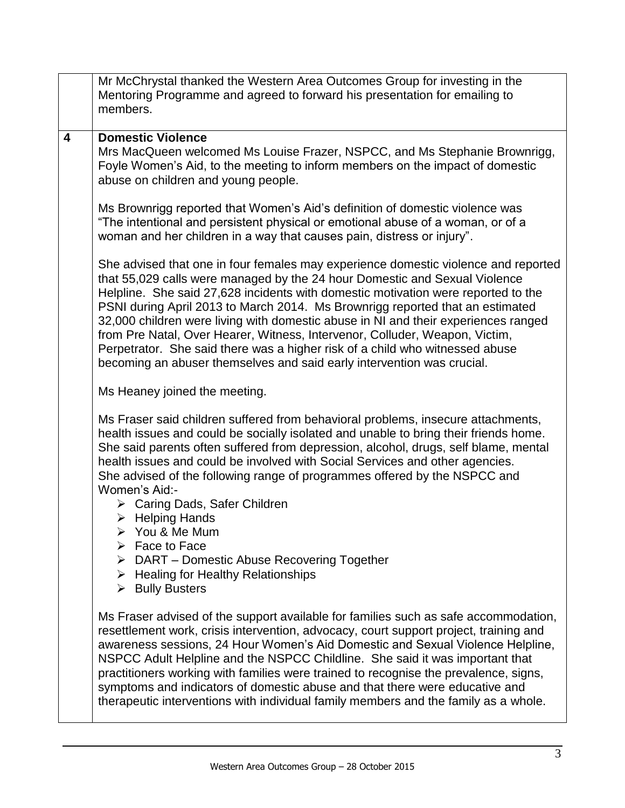|   | Mr McChrystal thanked the Western Area Outcomes Group for investing in the<br>Mentoring Programme and agreed to forward his presentation for emailing to<br>members.                                                                                                                                                                                                                                                                                                                                                                                                                                                                                                  |
|---|-----------------------------------------------------------------------------------------------------------------------------------------------------------------------------------------------------------------------------------------------------------------------------------------------------------------------------------------------------------------------------------------------------------------------------------------------------------------------------------------------------------------------------------------------------------------------------------------------------------------------------------------------------------------------|
| 4 | <b>Domestic Violence</b><br>Mrs MacQueen welcomed Ms Louise Frazer, NSPCC, and Ms Stephanie Brownrigg,<br>Foyle Women's Aid, to the meeting to inform members on the impact of domestic<br>abuse on children and young people.                                                                                                                                                                                                                                                                                                                                                                                                                                        |
|   | Ms Brownrigg reported that Women's Aid's definition of domestic violence was<br>"The intentional and persistent physical or emotional abuse of a woman, or of a<br>woman and her children in a way that causes pain, distress or injury".                                                                                                                                                                                                                                                                                                                                                                                                                             |
|   | She advised that one in four females may experience domestic violence and reported<br>that 55,029 calls were managed by the 24 hour Domestic and Sexual Violence<br>Helpline. She said 27,628 incidents with domestic motivation were reported to the<br>PSNI during April 2013 to March 2014. Ms Brownrigg reported that an estimated<br>32,000 children were living with domestic abuse in NI and their experiences ranged<br>from Pre Natal, Over Hearer, Witness, Intervenor, Colluder, Weapon, Victim,<br>Perpetrator. She said there was a higher risk of a child who witnessed abuse<br>becoming an abuser themselves and said early intervention was crucial. |
|   | Ms Heaney joined the meeting.                                                                                                                                                                                                                                                                                                                                                                                                                                                                                                                                                                                                                                         |
|   | Ms Fraser said children suffered from behavioral problems, insecure attachments,<br>health issues and could be socially isolated and unable to bring their friends home.<br>She said parents often suffered from depression, alcohol, drugs, self blame, mental<br>health issues and could be involved with Social Services and other agencies.<br>She advised of the following range of programmes offered by the NSPCC and<br>Women's Aid:-<br>> Caring Dads, Safer Children<br>$\triangleright$ Helping Hands<br>You & Me Mum                                                                                                                                      |
|   | $\triangleright$ Face to Face<br>$\triangleright$ DART – Domestic Abuse Recovering Together<br>$\triangleright$ Healing for Healthy Relationships<br>$\triangleright$ Bully Busters                                                                                                                                                                                                                                                                                                                                                                                                                                                                                   |
|   | Ms Fraser advised of the support available for families such as safe accommodation,<br>resettlement work, crisis intervention, advocacy, court support project, training and<br>awareness sessions, 24 Hour Women's Aid Domestic and Sexual Violence Helpline,<br>NSPCC Adult Helpline and the NSPCC Childline. She said it was important that<br>practitioners working with families were trained to recognise the prevalence, signs,<br>symptoms and indicators of domestic abuse and that there were educative and<br>therapeutic interventions with individual family members and the family as a whole.                                                          |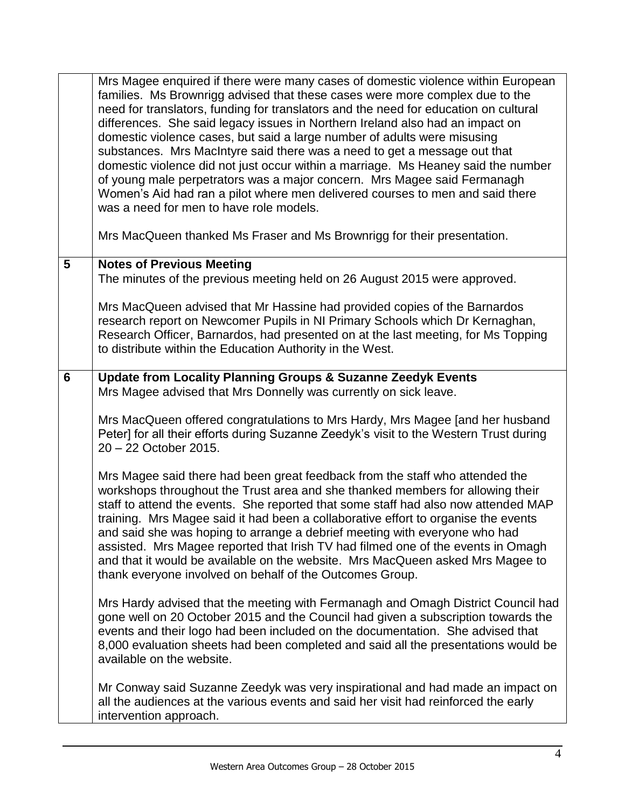|                | Mrs Magee enquired if there were many cases of domestic violence within European<br>families. Ms Brownrigg advised that these cases were more complex due to the<br>need for translators, funding for translators and the need for education on cultural<br>differences. She said legacy issues in Northern Ireland also had an impact on<br>domestic violence cases, but said a large number of adults were misusing<br>substances. Mrs MacIntyre said there was a need to get a message out that<br>domestic violence did not just occur within a marriage. Ms Heaney said the number<br>of young male perpetrators was a major concern. Mrs Magee said Fermanagh<br>Women's Aid had ran a pilot where men delivered courses to men and said there<br>was a need for men to have role models.<br>Mrs MacQueen thanked Ms Fraser and Ms Brownrigg for their presentation. |
|----------------|----------------------------------------------------------------------------------------------------------------------------------------------------------------------------------------------------------------------------------------------------------------------------------------------------------------------------------------------------------------------------------------------------------------------------------------------------------------------------------------------------------------------------------------------------------------------------------------------------------------------------------------------------------------------------------------------------------------------------------------------------------------------------------------------------------------------------------------------------------------------------|
| 5              | <b>Notes of Previous Meeting</b>                                                                                                                                                                                                                                                                                                                                                                                                                                                                                                                                                                                                                                                                                                                                                                                                                                           |
|                | The minutes of the previous meeting held on 26 August 2015 were approved.                                                                                                                                                                                                                                                                                                                                                                                                                                                                                                                                                                                                                                                                                                                                                                                                  |
|                | Mrs MacQueen advised that Mr Hassine had provided copies of the Barnardos<br>research report on Newcomer Pupils in NI Primary Schools which Dr Kernaghan,<br>Research Officer, Barnardos, had presented on at the last meeting, for Ms Topping<br>to distribute within the Education Authority in the West.                                                                                                                                                                                                                                                                                                                                                                                                                                                                                                                                                                |
| $6\phantom{1}$ | <b>Update from Locality Planning Groups &amp; Suzanne Zeedyk Events</b><br>Mrs Magee advised that Mrs Donnelly was currently on sick leave.                                                                                                                                                                                                                                                                                                                                                                                                                                                                                                                                                                                                                                                                                                                                |
|                | Mrs MacQueen offered congratulations to Mrs Hardy, Mrs Magee [and her husband<br>Peter] for all their efforts during Suzanne Zeedyk's visit to the Western Trust during<br>20 - 22 October 2015.                                                                                                                                                                                                                                                                                                                                                                                                                                                                                                                                                                                                                                                                           |
|                | Mrs Magee said there had been great feedback from the staff who attended the<br>workshops throughout the Trust area and she thanked members for allowing their<br>staff to attend the events. She reported that some staff had also now attended MAP<br>training. Mrs Magee said it had been a collaborative effort to organise the events<br>and said she was hoping to arrange a debrief meeting with everyone who had<br>assisted. Mrs Magee reported that Irish TV had filmed one of the events in Omagh<br>and that it would be available on the website. Mrs MacQueen asked Mrs Magee to<br>thank everyone involved on behalf of the Outcomes Group.                                                                                                                                                                                                                 |
|                | Mrs Hardy advised that the meeting with Fermanagh and Omagh District Council had<br>gone well on 20 October 2015 and the Council had given a subscription towards the<br>events and their logo had been included on the documentation. She advised that<br>8,000 evaluation sheets had been completed and said all the presentations would be<br>available on the website.                                                                                                                                                                                                                                                                                                                                                                                                                                                                                                 |
|                | Mr Conway said Suzanne Zeedyk was very inspirational and had made an impact on<br>all the audiences at the various events and said her visit had reinforced the early<br>intervention approach.                                                                                                                                                                                                                                                                                                                                                                                                                                                                                                                                                                                                                                                                            |